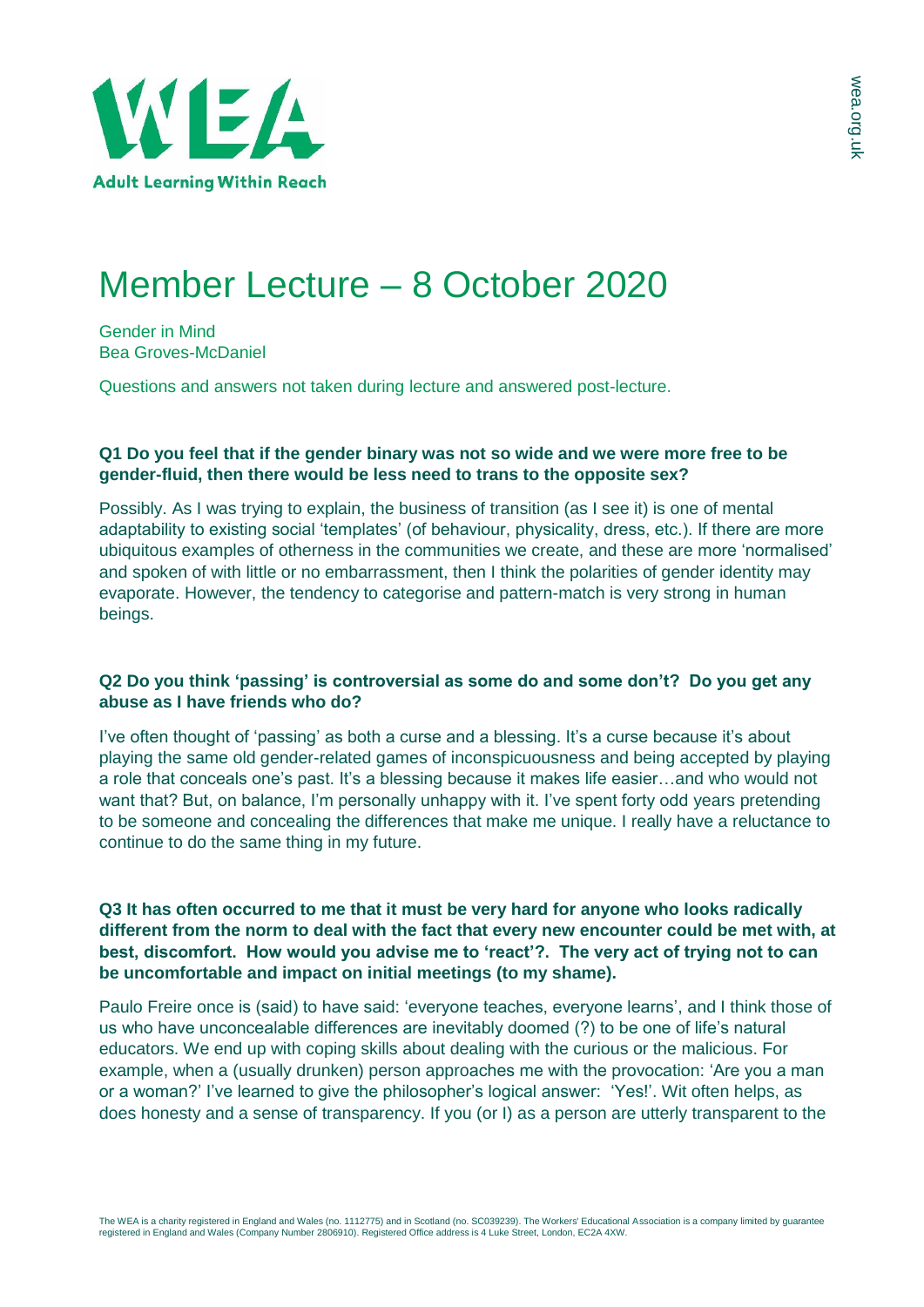

# Member Lecture – 8 October 2020

Gender in Mind Bea Groves-McDaniel

Questions and answers not taken during lecture and answered post-lecture.

## **Q1 Do you feel that if the gender binary was not so wide and we were more free to be gender-fluid, then there would be less need to trans to the opposite sex?**

Possibly. As I was trying to explain, the business of transition (as I see it) is one of mental adaptability to existing social 'templates' (of behaviour, physicality, dress, etc.). If there are more ubiquitous examples of otherness in the communities we create, and these are more 'normalised' and spoken of with little or no embarrassment, then I think the polarities of gender identity may evaporate. However, the tendency to categorise and pattern-match is very strong in human beings.

## **Q2 Do you think 'passing' is controversial as some do and some don't? Do you get any abuse as I have friends who do?**

I've often thought of 'passing' as both a curse and a blessing. It's a curse because it's about playing the same old gender-related games of inconspicuousness and being accepted by playing a role that conceals one's past. It's a blessing because it makes life easier…and who would not want that? But, on balance, I'm personally unhappy with it. I've spent forty odd years pretending to be someone and concealing the differences that make me unique. I really have a reluctance to continue to do the same thing in my future.

## **Q3 It has often occurred to me that it must be very hard for anyone who looks radically different from the norm to deal with the fact that every new encounter could be met with, at best, discomfort. How would you advise me to 'react'?. The very act of trying not to can be uncomfortable and impact on initial meetings (to my shame).**

Paulo Freire once is (said) to have said: 'everyone teaches, everyone learns', and I think those of us who have unconcealable differences are inevitably doomed (?) to be one of life's natural educators. We end up with coping skills about dealing with the curious or the malicious. For example, when a (usually drunken) person approaches me with the provocation: 'Are you a man or a woman?' I've learned to give the philosopher's logical answer: 'Yes!'. Wit often helps, as does honesty and a sense of transparency. If you (or I) as a person are utterly transparent to the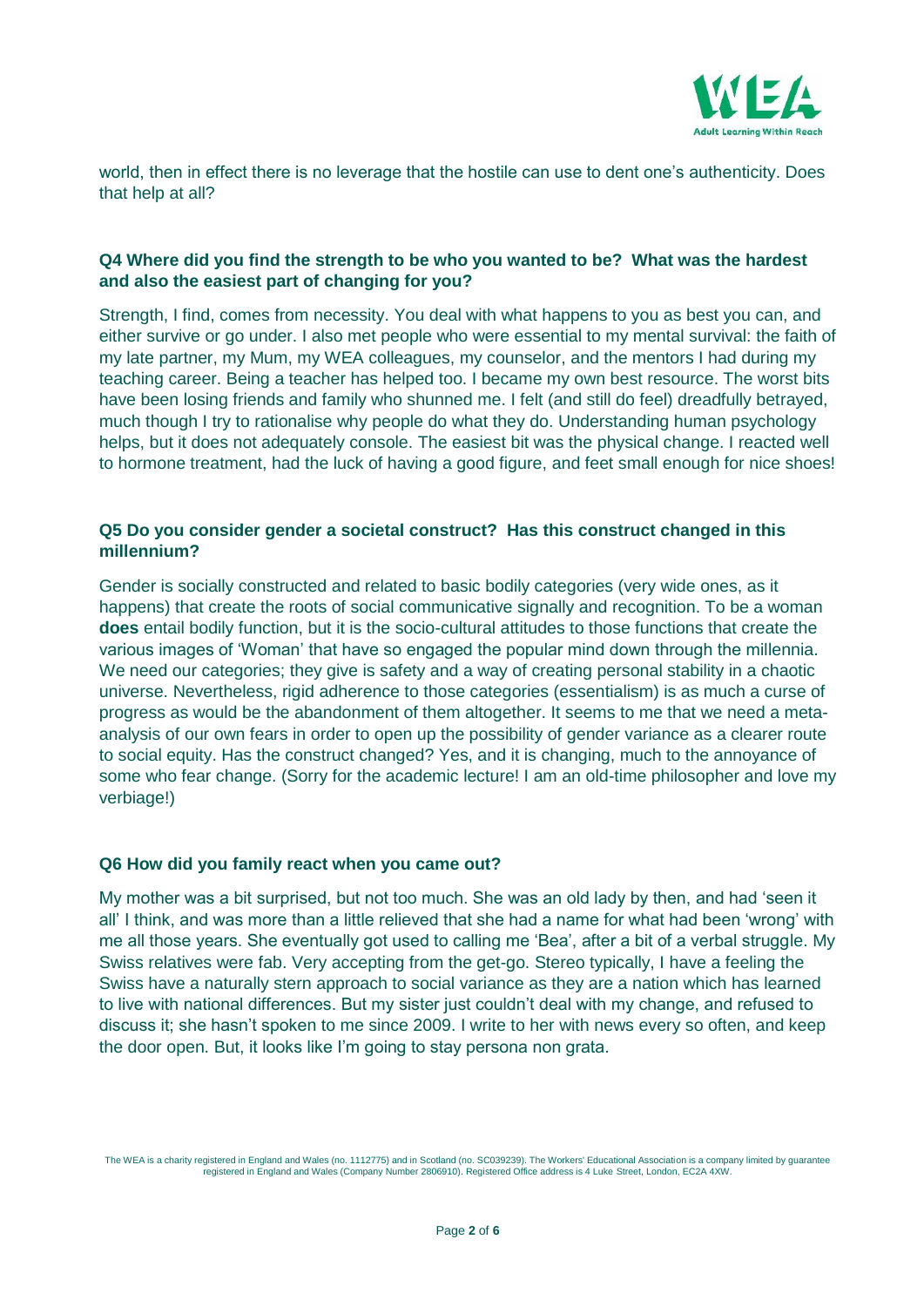

world, then in effect there is no leverage that the hostile can use to dent one's authenticity. Does that help at all?

## **Q4 Where did you find the strength to be who you wanted to be? What was the hardest and also the easiest part of changing for you?**

Strength, I find, comes from necessity. You deal with what happens to you as best you can, and either survive or go under. I also met people who were essential to my mental survival: the faith of my late partner, my Mum, my WEA colleagues, my counselor, and the mentors I had during my teaching career. Being a teacher has helped too. I became my own best resource. The worst bits have been losing friends and family who shunned me. I felt (and still do feel) dreadfully betrayed, much though I try to rationalise why people do what they do. Understanding human psychology helps, but it does not adequately console. The easiest bit was the physical change. I reacted well to hormone treatment, had the luck of having a good figure, and feet small enough for nice shoes!

## **Q5 Do you consider gender a societal construct? Has this construct changed in this millennium?**

Gender is socially constructed and related to basic bodily categories (very wide ones, as it happens) that create the roots of social communicative signally and recognition. To be a woman **does** entail bodily function, but it is the socio-cultural attitudes to those functions that create the various images of 'Woman' that have so engaged the popular mind down through the millennia. We need our categories; they give is safety and a way of creating personal stability in a chaotic universe. Nevertheless, rigid adherence to those categories (essentialism) is as much a curse of progress as would be the abandonment of them altogether. It seems to me that we need a metaanalysis of our own fears in order to open up the possibility of gender variance as a clearer route to social equity. Has the construct changed? Yes, and it is changing, much to the annoyance of some who fear change. (Sorry for the academic lecture! I am an old-time philosopher and love my verbiage!)

#### **Q6 How did you family react when you came out?**

My mother was a bit surprised, but not too much. She was an old lady by then, and had 'seen it all' I think, and was more than a little relieved that she had a name for what had been 'wrong' with me all those years. She eventually got used to calling me 'Bea', after a bit of a verbal struggle. My Swiss relatives were fab. Very accepting from the get-go. Stereo typically, I have a feeling the Swiss have a naturally stern approach to social variance as they are a nation which has learned to live with national differences. But my sister just couldn't deal with my change, and refused to discuss it; she hasn't spoken to me since 2009. I write to her with news every so often, and keep the door open. But, it looks like I'm going to stay persona non grata.

The WEA is a charity registered in England and Wales (no. 1112775) and in Scotland (no. SC039239). The Workers' Educational Association is a company limited by guarantee<br>registered in England and Wales (Company Number 2806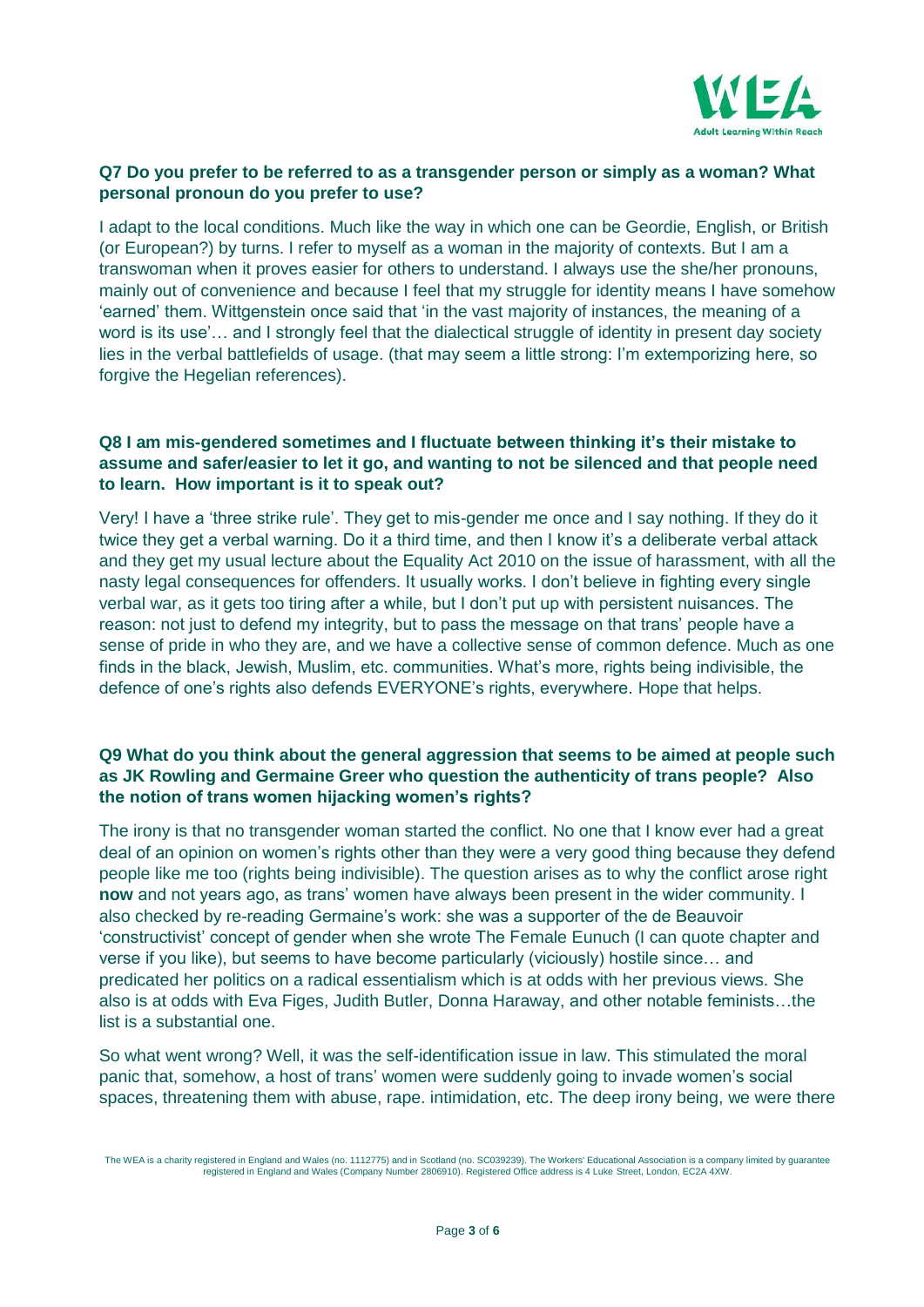

## **Q7 Do you prefer to be referred to as a transgender person or simply as a woman? What personal pronoun do you prefer to use?**

I adapt to the local conditions. Much like the way in which one can be Geordie, English, or British (or European?) by turns. I refer to myself as a woman in the majority of contexts. But I am a transwoman when it proves easier for others to understand. I always use the she/her pronouns, mainly out of convenience and because I feel that my struggle for identity means I have somehow 'earned' them. Wittgenstein once said that 'in the vast majority of instances, the meaning of a word is its use'… and I strongly feel that the dialectical struggle of identity in present day society lies in the verbal battlefields of usage. (that may seem a little strong: I'm extemporizing here, so forgive the Hegelian references).

#### **Q8 I am mis-gendered sometimes and I fluctuate between thinking it's their mistake to assume and safer/easier to let it go, and wanting to not be silenced and that people need to learn. How important is it to speak out?**

Very! I have a 'three strike rule'. They get to mis-gender me once and I say nothing. If they do it twice they get a verbal warning. Do it a third time, and then I know it's a deliberate verbal attack and they get my usual lecture about the Equality Act 2010 on the issue of harassment, with all the nasty legal consequences for offenders. It usually works. I don't believe in fighting every single verbal war, as it gets too tiring after a while, but I don't put up with persistent nuisances. The reason: not just to defend my integrity, but to pass the message on that trans' people have a sense of pride in who they are, and we have a collective sense of common defence. Much as one finds in the black, Jewish, Muslim, etc. communities. What's more, rights being indivisible, the defence of one's rights also defends EVERYONE's rights, everywhere. Hope that helps.

## **Q9 What do you think about the general aggression that seems to be aimed at people such as JK Rowling and Germaine Greer who question the authenticity of trans people? Also the notion of trans women hijacking women's rights?**

The irony is that no transgender woman started the conflict. No one that I know ever had a great deal of an opinion on women's rights other than they were a very good thing because they defend people like me too (rights being indivisible). The question arises as to why the conflict arose right **now** and not years ago, as trans' women have always been present in the wider community. I also checked by re-reading Germaine's work: she was a supporter of the de Beauvoir 'constructivist' concept of gender when she wrote The Female Eunuch (I can quote chapter and verse if you like), but seems to have become particularly (viciously) hostile since… and predicated her politics on a radical essentialism which is at odds with her previous views. She also is at odds with Eva Figes, Judith Butler, Donna Haraway, and other notable feminists…the list is a substantial one.

So what went wrong? Well, it was the self-identification issue in law. This stimulated the moral panic that, somehow, a host of trans' women were suddenly going to invade women's social spaces, threatening them with abuse, rape. intimidation, etc. The deep irony being, we were there

The WEA is a charity registered in England and Wales (no. 1112775) and in Scotland (no. SC039239). The Workers' Educational Association is a company limited by guarantee registered in England and Wales (Company Number 2806910). Registered Office address is 4 Luke Street, London, EC2A 4XW.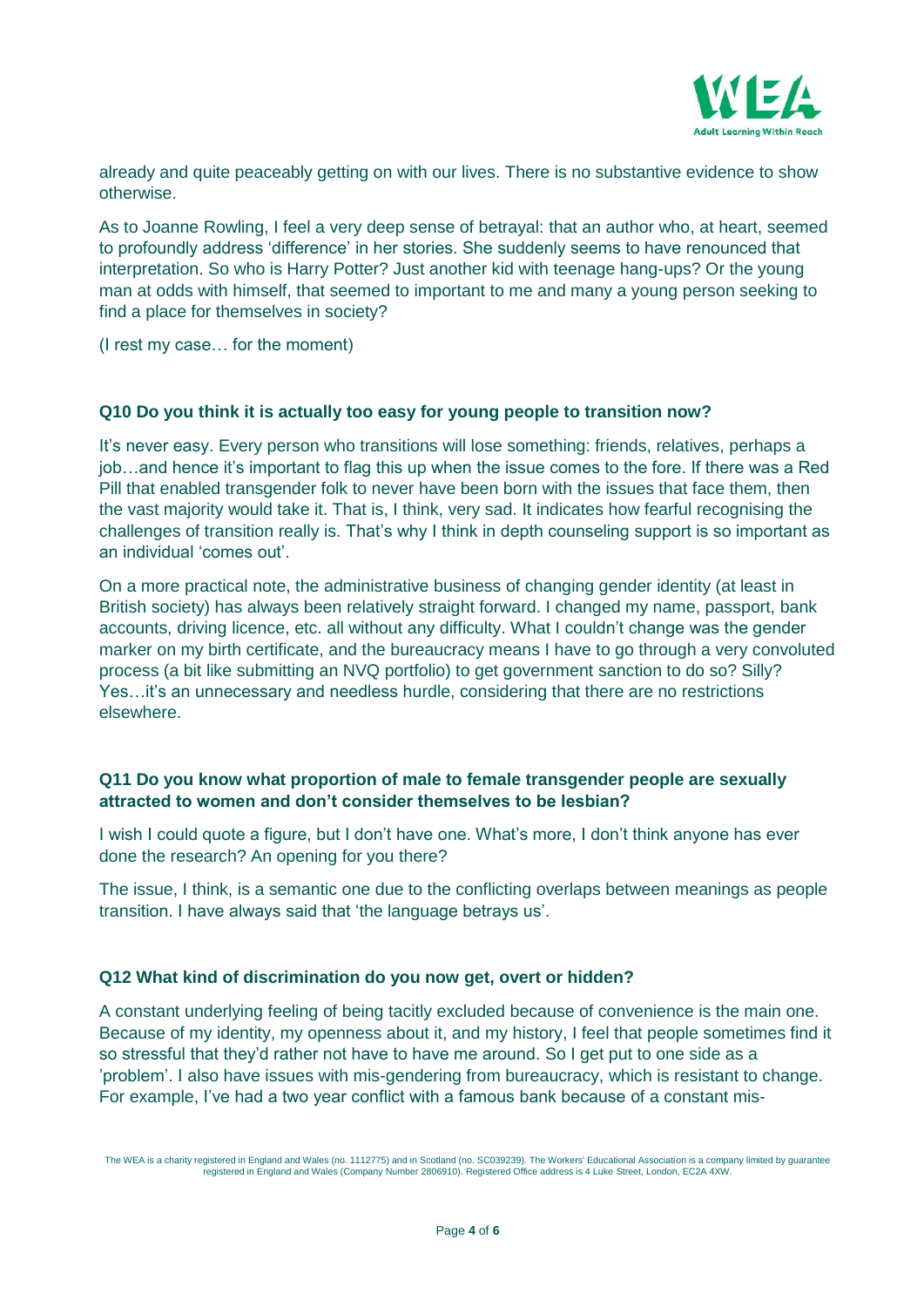

already and quite peaceably getting on with our lives. There is no substantive evidence to show otherwise.

As to Joanne Rowling, I feel a very deep sense of betrayal: that an author who, at heart, seemed to profoundly address 'difference' in her stories. She suddenly seems to have renounced that interpretation. So who is Harry Potter? Just another kid with teenage hang-ups? Or the young man at odds with himself, that seemed to important to me and many a young person seeking to find a place for themselves in society?

(I rest my case… for the moment)

## **Q10 Do you think it is actually too easy for young people to transition now?**

It's never easy. Every person who transitions will lose something: friends, relatives, perhaps a job…and hence it's important to flag this up when the issue comes to the fore. If there was a Red Pill that enabled transgender folk to never have been born with the issues that face them, then the vast majority would take it. That is, I think, very sad. It indicates how fearful recognising the challenges of transition really is. That's why I think in depth counseling support is so important as an individual 'comes out'.

On a more practical note, the administrative business of changing gender identity (at least in British society) has always been relatively straight forward. I changed my name, passport, bank accounts, driving licence, etc. all without any difficulty. What I couldn't change was the gender marker on my birth certificate, and the bureaucracy means I have to go through a very convoluted process (a bit like submitting an NVQ portfolio) to get government sanction to do so? Silly? Yes…it's an unnecessary and needless hurdle, considering that there are no restrictions elsewhere.

## **Q11 Do you know what proportion of male to female transgender people are sexually attracted to women and don't consider themselves to be lesbian?**

I wish I could quote a figure, but I don't have one. What's more, I don't think anyone has ever done the research? An opening for you there?

The issue, I think, is a semantic one due to the conflicting overlaps between meanings as people transition. I have always said that 'the language betrays us'.

## **Q12 What kind of discrimination do you now get, overt or hidden?**

A constant underlying feeling of being tacitly excluded because of convenience is the main one. Because of my identity, my openness about it, and my history, I feel that people sometimes find it so stressful that they'd rather not have to have me around. So I get put to one side as a 'problem'. I also have issues with mis-gendering from bureaucracy, which is resistant to change. For example, I've had a two year conflict with a famous bank because of a constant mis-

The WEA is a charity registered in England and Wales (no. 1112775) and in Scotland (no. SC039239). The Workers' Educational Association is a company limited by guarantee registered in England and Wales (Company Number 2806910). Registered Office address is 4 Luke Street, London, EC2A 4XW.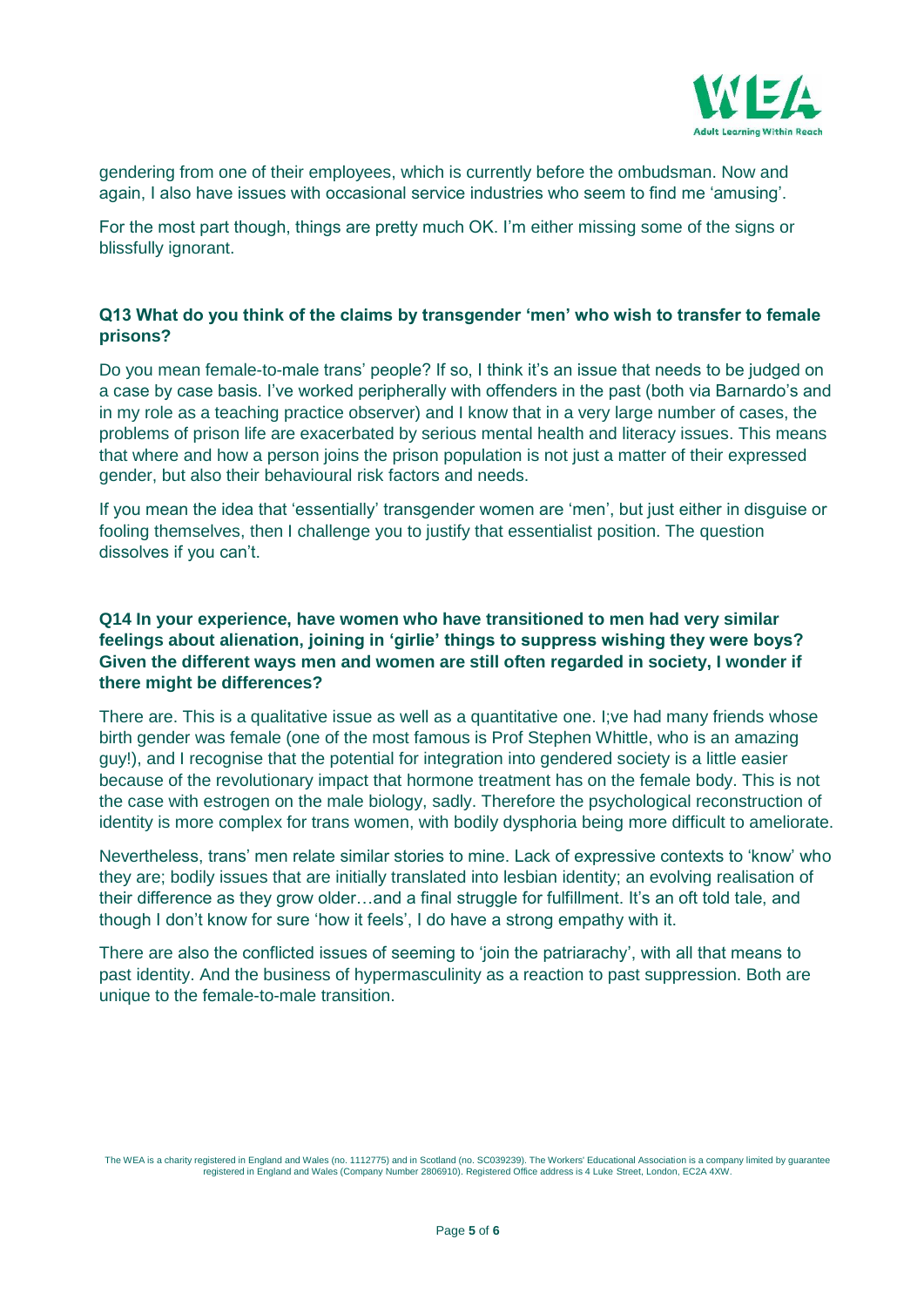

gendering from one of their employees, which is currently before the ombudsman. Now and again, I also have issues with occasional service industries who seem to find me 'amusing'.

For the most part though, things are pretty much OK. I'm either missing some of the signs or blissfully ignorant.

## **Q13 What do you think of the claims by transgender 'men' who wish to transfer to female prisons?**

Do you mean female-to-male trans' people? If so, I think it's an issue that needs to be judged on a case by case basis. I've worked peripherally with offenders in the past (both via Barnardo's and in my role as a teaching practice observer) and I know that in a very large number of cases, the problems of prison life are exacerbated by serious mental health and literacy issues. This means that where and how a person joins the prison population is not just a matter of their expressed gender, but also their behavioural risk factors and needs.

If you mean the idea that 'essentially' transgender women are 'men', but just either in disguise or fooling themselves, then I challenge you to justify that essentialist position. The question dissolves if you can't.

## **Q14 In your experience, have women who have transitioned to men had very similar feelings about alienation, joining in 'girlie' things to suppress wishing they were boys? Given the different ways men and women are still often regarded in society, I wonder if there might be differences?**

There are. This is a qualitative issue as well as a quantitative one. I;ve had many friends whose birth gender was female (one of the most famous is Prof Stephen Whittle, who is an amazing guy!), and I recognise that the potential for integration into gendered society is a little easier because of the revolutionary impact that hormone treatment has on the female body. This is not the case with estrogen on the male biology, sadly. Therefore the psychological reconstruction of identity is more complex for trans women, with bodily dysphoria being more difficult to ameliorate.

Nevertheless, trans' men relate similar stories to mine. Lack of expressive contexts to 'know' who they are; bodily issues that are initially translated into lesbian identity; an evolving realisation of their difference as they grow older…and a final struggle for fulfillment. It's an oft told tale, and though I don't know for sure 'how it feels', I do have a strong empathy with it.

There are also the conflicted issues of seeming to 'join the patriarachy', with all that means to past identity. And the business of hypermasculinity as a reaction to past suppression. Both are unique to the female-to-male transition.

The WEA is a charity registered in England and Wales (no. 1112775) and in Scotland (no. SC039239). The Workers' Educational Association is a company limited by guarantee registered in England and Wales (Company Number 2806910). Registered Office address is 4 Luke Street, London, EC2A 4XW.